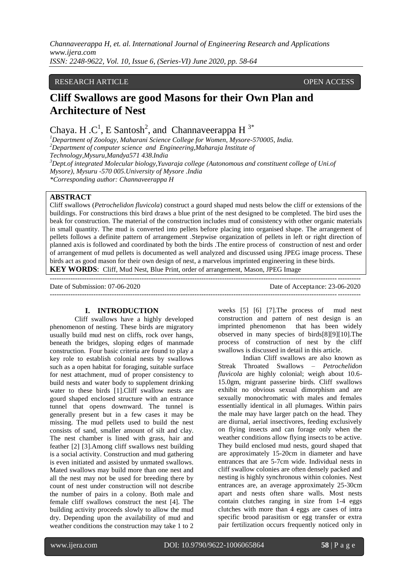*Channaveerappa H, et. al. International Journal of Engineering Research and Applications www.ijera.com ISSN: 2248-9622, Vol. 10, Issue 6, (Series-VI) June 2020, pp. 58-64*

#### RESEARCH ARTICLE OPEN ACCESS

# **Cliff Swallows are good Masons for their Own Plan and Architecture of Nest**

Chaya. H.C<sup>1</sup>, E Santosh<sup>2</sup>, and Channaveerappa H<sup>3\*</sup>

*<sup>1</sup>Department of Zoology, Maharani Science College for Women, Mysore-570005, India. <sup>2</sup>Department of computer science and Engineering,Maharaja Institute of Technology,Mysuru,Mandya571 438.India <sup>3</sup>Dept.of integrated Molecular biology,Yuvaraja college (Autonomous and constituent college of Uni.of Mysore), Mysuru -570 005.University of Mysore .India \*Corresponding author: Channaveerappa H*

## **ABSTRACT**

Cliff swallows (*Petrochelidon fluvicola*) construct a gourd shaped mud nests below the cliff or extensions of the buildings. For constructions this bird draws a blue print of the nest designed to be completed. The bird uses the beak for construction. The material of the construction includes mud of consistency with other organic materials in small quantity. The mud is converted into pellets before placing into organised shape. The arrangement of pellets follows a definite pattern of arrangement .Stepwise organization of pellets in left or right direction of planned axis is followed and coordinated by both the birds .The entire process of construction of nest and order of arrangement of mud pellets is documented as well analyzed and discussed using JPEG image process. These birds act as good mason for their own design of nest, a marvelous imprinted engineering in these birds. **KEY WORDS**: Cliff, Mud Nest, Blue Print, order of arrangement, Mason, JPEG Image

--------------------------------------------------------------------------------------------------------------------------------------- Date of Submission: 07-06-2020 Date of Acceptance: 23-06-2020  $-1-\frac{1}{2}$ 

#### **I. INTRODUCTION**

Cliff swallows have a highly developed phenomenon of nesting. These birds are migratory usually build mud nest on cliffs, rock over hangs, beneath the bridges, sloping edges of manmade construction. Four basic criteria are found to play a key role to establish colonial nests by swallows such as a open habitat for foraging, suitable surface for nest attachment, mud of proper consistency to build nests and water body to supplement drinking water to these birds [1].Cliff swallow nests are gourd shaped enclosed structure with an entrance tunnel that opens downward. The tunnel is generally present but in a few cases it may be missing. The mud pellets used to build the nest consists of sand, smaller amount of silt and clay. The nest chamber is lined with grass, hair and feather [2] [3].Among cliff swallows nest building is a social activity. Construction and mud gathering is even initiated and assisted by unmated swallows. Mated swallows may build more than one nest and all the nest may not be used for breeding there by count of nest under construction will not describe the number of pairs in a colony. Both male and female cliff swallows construct the nest [4]. The building activity proceeds slowly to allow the mud dry. Depending upon the availability of mud and weather conditions the construction may take 1 to 2

weeks [5] [6] [7].The process of mud nest construction and pattern of nest design is an imprinted phenomenon that has been widely observed in many species of birds[8][9][10].The process of construction of nest by the cliff swallows is discussed in detail in this article.

Indian Cliff swallows are also known as Streak Throated Swallows – *Petrochelidon fluvicola* are highly colonial; weigh about 10.6- 15.0gm, migrant passerine birds. Cliff swallows exhibit no obvious sexual dimorphism and are sexually monochromatic with males and females essentially identical in all plumages. Within pairs the male may have larger patch on the head. They are diurnal, aerial insectivores, feeding exclusively on flying insects and can forage only when the weather conditions allow flying insects to be active. They build enclosed mud nests, gourd shaped that are approximately 15-20cm in diameter and have entrances that are 5-7cm wide. Individual nests in cliff swallow colonies are often densely packed and nesting is highly synchronous within colonies. Nest entrances are, an average approximately 25-30cm apart and nests often share walls. Most nests contain clutches ranging in size from 1-4 eggs clutches with more than 4 eggs are cases of intra specific brood parasitism or egg transfer or extra pair fertilization occurs frequently noticed only in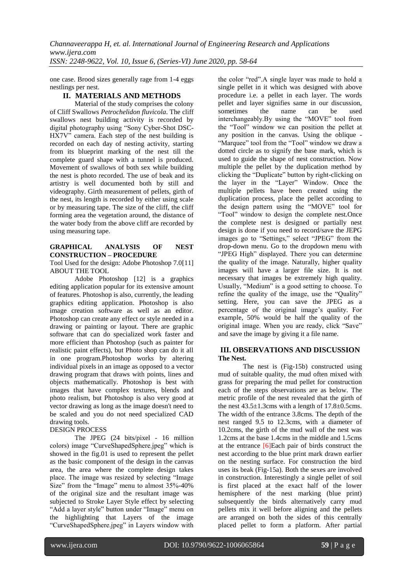one case. Brood sizes generally rage from 1-4 eggs nestlings per nest.

## **II. MATERIALS AND METHODS**

Material of the study comprises the colony of Cliff Swallows *Petrochelidon fluvicola*. The cliff swallows nest building activity is recorded by digital photography using "Sony Cyber-Shot DSC-HX7V" camera. Each step of the nest building is recorded on each day of nesting activity, starting from its blueprint marking of the nest till the complete guard shape with a tunnel is produced. Movement of swallows of both sex while building the nest is photo recorded. The use of beak and its artistry is well documented both by still and videography. Girth measurement of pellets, girth of the nest, its length is recorded by either using scale or by measuring tape. The size of the cliff, the cliff forming area the vegetation around, the distance of the water body from the above cliff are recorded by using measuring tape.

#### **GRAPHICAL ANALYSIS OF NEST CONSTRUCTION – PROCEDURE**

Tool Used for the design: Adobe Photoshop 7.0[11] ABOUT THE TOOL

Adobe Photoshop [12] is a graphics editing application popular for its extensive amount of features. Photoshop is also, currently, the leading graphics editing application. Photoshop is also image creation software as well as an editor. Photoshop can create any effect or style needed in a drawing or painting or layout. There are graphic software that can do specialized work faster and more efficient than Photoshop (such as painter for realistic paint effects), but Photo shop can do it all in one program.Photoshop works by altering individual pixels in an image as opposed to a vector drawing program that draws with points, lines and objects mathematically. Photoshop is best with images that have complex textures, blends and photo realism, but Photoshop is also very good at vector drawing as long as the image doesn't need to be scaled and you do not need specialized CAD drawing tools.

#### DESIGN PROCESS

The JPEG (24 bits/pixel - 16 million colors) image "CurveShapedSphere.jpeg" which is showed in the fig.01 is used to represent the pellet as the basic component of the design in the canvas area, the area where the complete design takes place. The image was resized by selecting "Image Size" from the "Image" menu to almost 35%-40% of the original size and the resultant image was subjected to Stroke Layer Style effect by selecting "Add a layer style" button under "Image" menu on the highlighting that Layers of the image "CurveShapedSphere.jpeg" in Layers window with

the color "red".A single layer was made to hold a single pellet in it which was designed with above procedure i.e. a pellet in each layer. The words pellet and layer signifies same in our discussion. sometimes the name can be used interchangeably.By using the "MOVE" tool from the "Tool" window we can position the pellet at any position in the canvas. Using the oblique - "Marquee" tool from the "Tool" window we draw a dotted circle as to signify the base mark, which is used to guide the shape of nest construction. Now multiple the pellet by the duplication method by clicking the "Duplicate" button by right-clicking on the layer in the "Layer" Window. Once the multiple pellets have been created using the duplication process, place the pellet according to the design pattern using the "MOVE" tool for "Tool" window to design the complete nest.Once the complete nest is designed or partially nest design is done if you need to record/save the JEPG images go to "Settings," select "JPEG" from the drop-down menu. Go to the dropdown menu with "JPEG High" displayed. There you can determine the quality of the image. Naturally, higher quality images will have a larger file size. It is not necessary that images be extremely high quality. Usually, "Medium" is a good setting to choose. To refine the quality of the image, use the "Quality" setting. Here, you can save the JPEG as a percentage of the original image's quality. For example, 50% would be half the quality of the original image. When you are ready, click "Save" and save the image by giving it a file name.

## **III. OBSERVATIONS AND DISCUSSION The Nest.**

The nest is (Fig-15b) constructed using mud of suitable quality, the mud often mixed with grass for preparing the mud pellet for construction each of the steps observations are as below. The metric profile of the nest revealed that the girth of the nest  $43.5 \pm 1.3$ cms with a length of  $17.8 \pm 0.5$ cms. The width of the entrance 3.8cms. The depth of the nest ranged 9.5 to 12.3cms, with a diameter of 10.2cms, the girth of the mud wall of the nest was 1.2cms at the base 1.4cms in the middle and 1.5cms at the entrance [6]Each pair of birds construct the nest according to the blue print mark drawn earlier on the nesting surface. For construction the bird uses its beak (Fig-15a). Both the sexes are involved in construction. Interestingly a single pellet of soil is first placed at the exact half of the lower hemisphere of the nest marking (blue print) subsequently the birds alternatively carry mud pellets mix it well before aligning and the pellets are arranged on both the sides of this centrally placed pellet to form a platform. After partial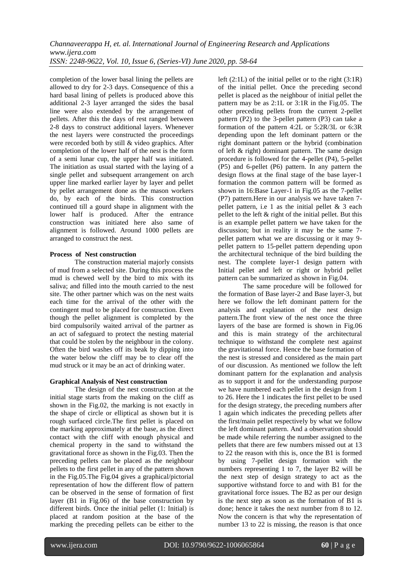completion of the lower basal lining the pellets are allowed to dry for 2-3 days. Consequence of this a hard basal lining of pellets is produced above this additional 2-3 layer arranged the sides the basal line were also extended by the arrangement of pellets. After this the days of rest ranged between 2-8 days to construct additional layers. Whenever the nest layers were constructed the proceedings were recorded both by still & video graphics. After completion of the lower half of the nest is the form of a semi lunar cup, the upper half was initiated. The initiation as usual started with the laying of a single pellet and subsequent arrangement on arch upper line marked earlier layer by layer and pellet by pellet arrangement done as the mason workers do, by each of the birds. This construction continued till a gourd shape in alignment with the lower half is produced. After the entrance construction was initiated here also same of alignment is followed. Around 1000 pellets are arranged to construct the nest.

## **Process of Nest construction**

The construction material majorly consists of mud from a selected site. During this process the mud is chewed well by the bird to mix with its saliva; and filled into the mouth carried to the nest site. The other partner which was on the nest waits each time for the arrival of the other with the contingent mud to be placed for construction. Even though the pellet alignment is completed by the bird compulsorily waited arrival of the partner as an act of safeguard to protect the nesting material that could be stolen by the neighbour in the colony. Often the bird washes off its beak by dipping into the water below the cliff may be to clear off the mud struck or it may be an act of drinking water.

# **Graphical Analysis of Nest construction**

The design of the nest construction at the initial stage starts from the making on the cliff as shown in the Fig.02, the marking is not exactly in the shape of circle or elliptical as shown but it is rough surfaced circle.The first pellet is placed on the marking approximately at the base, as the direct contact with the cliff with enough physical and chemical property in the sand to withstand the gravitational force as shown in the Fig.03. Then the preceding pellets can be placed as the neighbour pellets to the first pellet in any of the pattern shown in the Fig.05.The Fig.04 gives a graphical/pictorial representation of how the different flow of pattern can be observed in the sense of formation of first layer (B1 in Fig.06) of the base construction by different birds. Once the initial pellet (1: Initial) is placed at random position at the base of the marking the preceding pellets can be either to the left  $(2:1L)$  of the initial pellet or to the right  $(3:1R)$ of the initial pellet. Once the preceding second pellet is placed as the neighbour of initial pellet the pattern may be as 2:1L or 3:1R in the Fig.05. The other preceding pellets from the current 2-pellet pattern (P2) to the 3-pellet pattern (P3) can take a formation of the pattern 4:2L or 5:2R/3L or 6:3R depending upon the left dominant pattern or the right dominant pattern or the hybrid (combination of left & right) dominant pattern. The same design procedure is followed for the 4-pellet (P4), 5-pellet (P5) and 6-pellet (P6) pattern. In any pattern the design flows at the final stage of the base layer-1 formation the common pattern will be formed as shown in 16:Base Layer-1 in Fig.05 as the 7-pellet (P7) pattern.Here in our analysis we have taken 7 pellet pattern, i.e 1 as the initial pellet  $&3$  each pellet to the left & right of the initial pellet. But this is an example pellet pattern we have taken for the discussion; but in reality it may be the same 7 pellet pattern what we are discussing or it may 9 pellet pattern to 15-pellet pattern depending upon the architectural technique of the bird building the nest. The complete layer-1 design pattern with Initial pellet and left or right or hybrid pellet pattern can be summarized as shown in Fig.04.

The same procedure will be followed for the formation of Base layer-2 and Base layer-3, but here we follow the left dominant pattern for the analysis and explanation of the nest design pattern.The front view of the nest once the three layers of the base are formed is shown in Fig.06 and this is main strategy of the architectural technique to withstand the complete nest against the gravitational force. Hence the base formation of the nest is stressed and considered as the main part of our discussion. As mentioned we follow the left dominant pattern for the explanation and analysis as to support it and for the understanding purpose we have numbered each pellet in the design from 1 to 26. Here the 1 indicates the first pellet to be used for the design strategy, the preceding numbers after 1 again which indicates the preceding pellets after the first/main pellet respectively by what we follow the left dominant pattern. And a observation should be made while referring the number assigned to the pellets that there are few numbers missed out at 13 to 22 the reason with this is, once the B1 is formed by using 7-pellet design formation with the numbers representing 1 to 7, the layer B2 will be the next step of design strategy to act as the supportive withstand force to and with B1 for the gravitational force issues. The B2 as per our design is the next step as soon as the formation of B1 is done; hence it takes the next number from 8 to 12. Now the concern is that why the representation of number 13 to 22 is missing, the reason is that once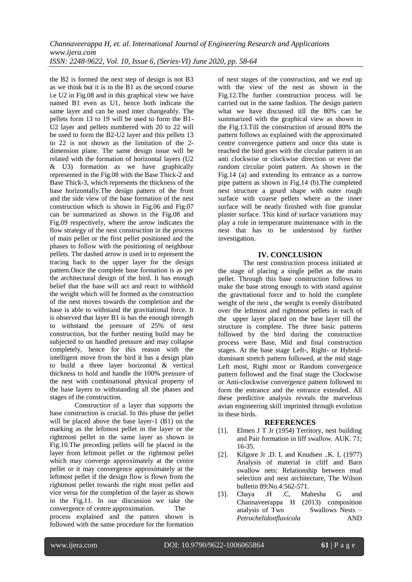the B2 is formed the next step of design is not B3 as we think but it is in the B1 as the second course i.e U2 in Fig.08 and in this graphical view we have named B1 even as U1, hence both indicate the same layer and can be used inter changeably. The pellets form 13 to 19 will be used to form the B1- U2 layer and pellets numbered with 20 to 22 will be used to form the B2-U2 layer and this pellets 13 to 22 is not shown as the limitation of the 2 dimension plane. The same design issue will be related with the formation of horizontal layers (U2 & U3) formation as we have graphically represented in the Fig.08 with the Base Thick-2 and Base Thick-3, which represents the thickness of the base horizontally.The design pattern of the front and the side view of the base formation of the nest construction which is shown in Fig.06 and Fig.07 can be summarized as shown in the Fig.08 and Fig.09 respectively, where the arrow indicates the flow strategy of the nest construction in the process of main pellet or the first pellet positioned and the phases to follow with the positioning of neighbour pellets. The dashed arrow is used in to represent the tracing back to the upper layer for the design pattern.Once the complete base formation is as per the architectural design of the bird. It has enough belief that the base will act and react to withhold the weight which will be formed as the construction of the nest moves towards the completion and the base is able to withstand the gravitational force. It is observed that layer B1 is has the enough strength to withstand the pressure of 25% of nest construction, but the further nesting build may be subjected to un handled pressure and may collapse completely, hence for this reason with the intelligent move from the bird it has a design plan to build a three layer horizontal & vertical thickness to hold and handle the 100% pressure of the nest with combinational physical property of the base layers to withstanding all the phases and stages of the construction.

Construction of a layer that supports the base construction is crucial. In this phase the pellet will be placed above the base layer-1 (B1) on the marking as the leftmost pellet in the layer or the rightmost pellet in the same layer as shown in Fig.10.The preceding pellets will be placed in the layer from leftmost pellet or the rightmost pellet which may converge approximately at the centre pellet or it may convergence approximately at the leftmost pellet if the design flow is flown from the rightmost pellet towards the right most pellet and vice versa for the completion of the layer as shown in the Fig.11. In our discussion we take the convergence of centre approximation. The process explained and the pattern shown is followed with the same procedure for the formation

of next stages of the construction, and we end up with the view of the nest as shown in the Fig.12.The further construction process will be carried out in the same fashion. The design pattern what we have discussed till the 80% can be summarized with the graphical view as shown in the Fig.13.Till the construction of around 80% the pattern follows as explained with the approximated centre convergence pattern and once this state is reached the bird goes with the circular pattern in an anti clockwise or clockwise direction or even the random circular point pattern. As shown in the Fig.14 (a) and extending its entrance as a narrow pipe pattern as shown in Fig.14 (b).The completed nest structure a gourd shape with outer rough surface with coarse pellets where as the inner surface will be neatly finished with fine granular plaster surface. This kind of surface variations may play a role in temperature maintenance with in the nest that has to be understood by further investigation.

## **IV. CONCLUSION**

The nest construction process initiated at the stage of placing a single pellet as the main pellet. Through this base construction follows to make the base strong enough to with stand against the gravitational force and to hold the complete weight of the nest , the weight is evenly distributed over the leftmost and rightmost pellets in each of the upper layer placed on the base layer till the structure is complete. The three basic patterns followed by the bird during the construction process were Base, Mid and final construction stages. At the base stage Left-, Right- or Hybriddominant stretch pattern followed, at the mid stage Left most, Right most or Random convergence pattern followed and the final stage the Clockwise or Anti-clockwise convergence pattern followed to form the entrance and the entrance extended. All these predictive analysis reveals the marvelous avian engineering skill imprinted through evolution in these birds.

#### **REFERENCES**

- [1]. Elmen J T Jr (1954) Territory, nest building and Pair formation in liff swallow. AUK. 71; 16-35.
- [2]. Kilgore Jr .D. L and Knudsen ..K. L (1977) Analysis of material in cliff and Barn swallow nets: Relationship between mud selection and nest architecture, The Wilson bulletin 89:No.4:562-571.
- [3]. Chaya .H .C, Mahesha G and Channaveerappa H (2013) composition analysis of Two Swallows Nests – *Petrochelidonfluvicola* AND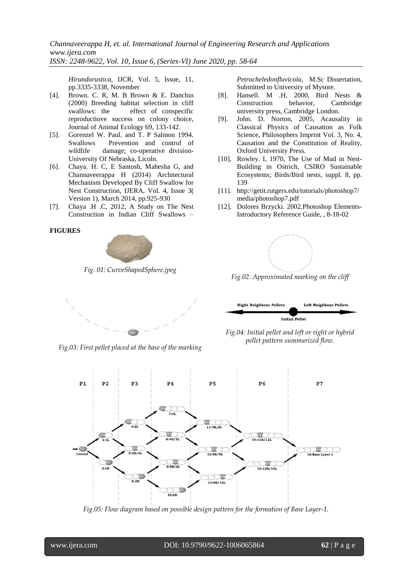*Channaveerappa H, et. al. International Journal of Engineering Research and Applications www.ijera.com ISSN: 2248-9622, Vol. 10, Issue 6, (Series-VI) June 2020, pp. 58-64*

*Hirundorustica,* IJCR, Vol. 5, Issue, 11, pp.3335-3338, November

- [4]. Brown. C. R, M. B Brown & E. Danchin (2000) Breeding habitat selection in cliff swallows: the effect of conspecific reproductiove success on colony choice, Journal of Animal Ecology 69, 133-142.
- [5]. Gorenzel W. Paul. and T. P Salmon 1994. Swallows Prevention and control of wildlife damage; co-operative division-University Of Nebraska, Licoln.
- [6]. Chaya. H. C, E Santosh, Mahesha G, and Channaveerappa H (2014) Architectural Mechanism Developed By Cliff Swallow for Nest Construction, IJERA, Vol. 4, Issue 3( Version 1), March 2014, pp.925-930
- [7]. Chaya .H .C, 2012, A Study on The Nest Construction in Indian Cliff Swallows –

#### **FIGURES**



*Fig. 01: CurveShapedSphere.jpeg*

*Petrocheledonfluvicola*, M.Sc Dissertation, Submitted to University of Mysore.

- [8]. Hansell. M .H, 2000, Bird Nests & Construction behavior, Cambridge university press, Cambridge London.
- [9]. John. D. Norton, 2005, Acausality in Classical Physics of Causation as Folk Science, Philosophers Imprint Vol. 3, No. 4, Causation and the Constitution of Reality, Oxford University Press.
- [10]. Rowley. I, 1970, The Use of Mud in Nest-Building in Ostrich, CSIRO Sustainable Ecosystems; Birds/Bird nests, suppl. 8, pp. 139
- [11]. http://getit.rutgers.edu/tutorials/photoshop7/ media/photoshop7.pdf
- [12]. Dolores Brzycki. 2002.Photoshop Elements-Introductory Reference Guide, , 8-18-02



*Fig.02: Approximated marking on the cliff*



*Fig.03: First pellet placed at the base of the marking*



*Fig.04: Initial pellet and left or right or hybrid pellet pattern summarized flow.*



*Fig.05: Flow diagram based on possible design pattern for the formation of Base Layer-1.*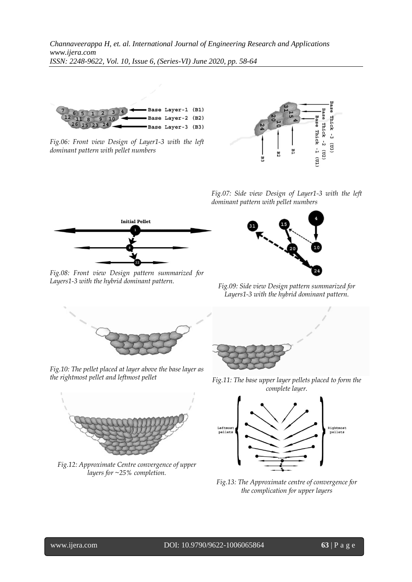

*Fig.06: Front view Design of Layer1-3 with the left dominant pattern with pellet numbers*



*Fig.07: Side view Design of Layer1-3 with the left dominant pattern with pellet numbers*



*Fig.08: Front view Design pattern summarized for Layers1-3 with the hybrid dominant pattern. Fig.09: Side view Design pattern summarized for* 



*Layers1-3 with the hybrid dominant pattern.*



*Fig.10: The pellet placed at layer above the base layer as* 



*Fig.12: Approximate Centre convergence of upper layers for ~25% completion.*



*the rightmost pellet and leftmost pellet Fig.11: The base upper layer pellets placed to form the complete layer.*



*Fig.13: The Approximate centre of convergence for the complication for upper layers*